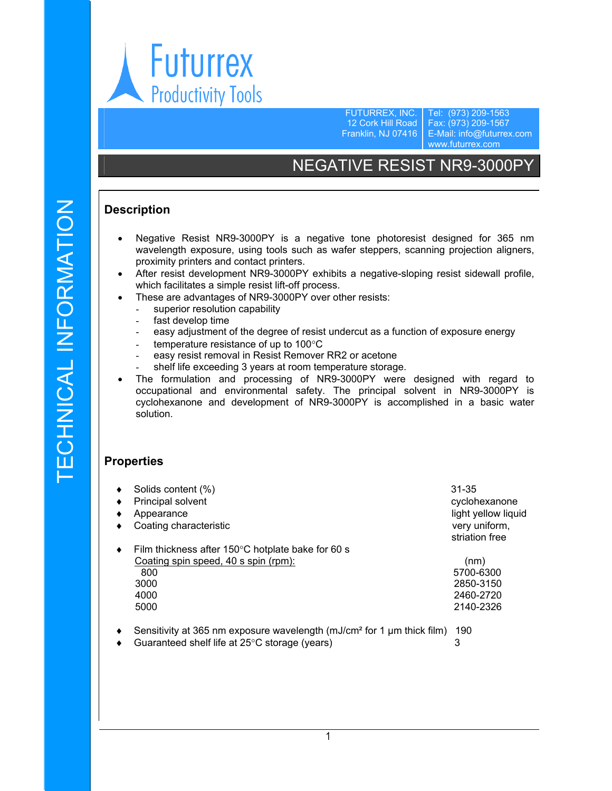

FUTURREX, INC. 12 Cork Hill Road Franklin, NJ 07416

Tel: (973) 209-1563 Fax: (973) 209-1567 E-Mail: info@futurrex.com www.futurrex.com

# NEGATIVE RESIST NR9-3000PY

## **Description**

- Negative Resist NR9-3000PY is a negative tone photoresist designed for 365 nm wavelength exposure, using tools such as wafer steppers, scanning projection aligners, proximity printers and contact printers.
- After resist development NR9-3000PY exhibits a negative-sloping resist sidewall profile, which facilitates a simple resist lift-off process.
- These are advantages of NR9-3000PY over other resists:
	- superior resolution capability
	- fast develop time
	- easy adjustment of the degree of resist undercut as a function of exposure energy
	- temperature resistance of up to 100°C
	- easy resist removal in Resist Remover RR2 or acetone
	- shelf life exceeding 3 years at room temperature storage.
- The formulation and processing of NR9-3000PY were designed with regard to occupational and environmental safety. The principal solvent in NR9-3000PY is cyclohexanone and development of NR9-3000PY is accomplished in a basic water solution.

#### **Properties**

| ٠                | Solids content (%)                                                                 | 31-35               |
|------------------|------------------------------------------------------------------------------------|---------------------|
| ٠                | Principal solvent                                                                  | cyclohexanone       |
| ٠                | Appearance                                                                         | light yellow liquid |
| ٠                | Coating characteristic                                                             | very uniform,       |
|                  |                                                                                    | striation free      |
| ٠                | Film thickness after $150^{\circ}$ C hotplate bake for 60 s                        |                     |
|                  | Coating spin speed, 40 s spin (rpm):                                               | (nm)                |
|                  | 800                                                                                | 5700-6300           |
|                  | 3000                                                                               | 2850-3150           |
|                  | 4000                                                                               | 2460-2720           |
|                  | 5000                                                                               | 2140-2326           |
|                  |                                                                                    |                     |
| $\blacktriangle$ | Consituity of 265 nm ovnosure wavelength (m I/cm <sup>2</sup> for 1 um thick film) | 100.                |

- Sensitivity at 365 nm exposure wavelength (mJ/cm<sup>2</sup> for 1 µm thick film) 190
- Guaranteed shelf life at 25°C storage (years) 3